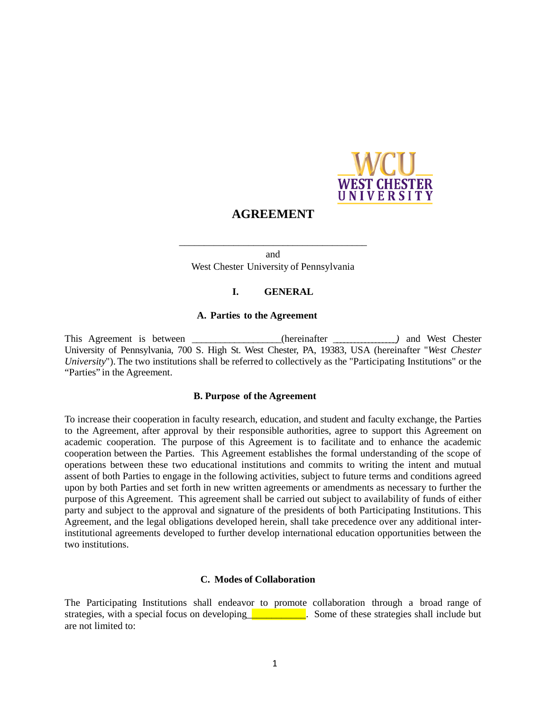

# **AGREEMENT**

and West Chester University of Pennsylvania

\_\_\_\_\_\_\_\_\_\_\_\_\_\_\_\_\_\_\_\_\_\_\_\_\_\_\_\_\_\_\_\_\_\_\_\_\_\_

#### **I. GENERAL**

#### **A. Parties to the Agreement**

This Agreement is between \_\_\_\_\_\_\_\_\_\_\_\_\_\_(hereinafter \_\_\_\_\_\_\_\_\_\_\_\_\_\_\_\_) and West Chester University of Pennsylvania, 700 S. High St. West Chester, PA, 19383, USA (hereinafter "*West Chester University*"). The two institutions shall be referred to collectively as the "Participating Institutions" or the "Parties" in the Agreement.

#### **B. Purpose of the Agreement**

To increase their cooperation in faculty research, education, and student and faculty exchange, the Parties to the Agreement, after approval by their responsible authorities, agree to support this Agreement on academic cooperation. The purpose of this Agreement is to facilitate and to enhance the academic cooperation between the Parties. This Agreement establishes the formal understanding of the scope of operations between these two educational institutions and commits to writing the intent and mutual assent of both Parties to engage in the following activities, subject to future terms and conditions agreed upon by both Parties and set forth in new written agreements or amendments as necessary to further the purpose of this Agreement. This agreement shall be carried out subject to availability of funds of either party and subject to the approval and signature of the presidents of both Participating Institutions. This Agreement, and the legal obligations developed herein, shall take precedence over any additional interinstitutional agreements developed to further develop international education opportunities between the two institutions.

#### **C. Modes of Collaboration**

The Participating Institutions shall endeavor to promote collaboration through a broad range of strategies, with a special focus on developing Some of these strategies shall include but are not limited to: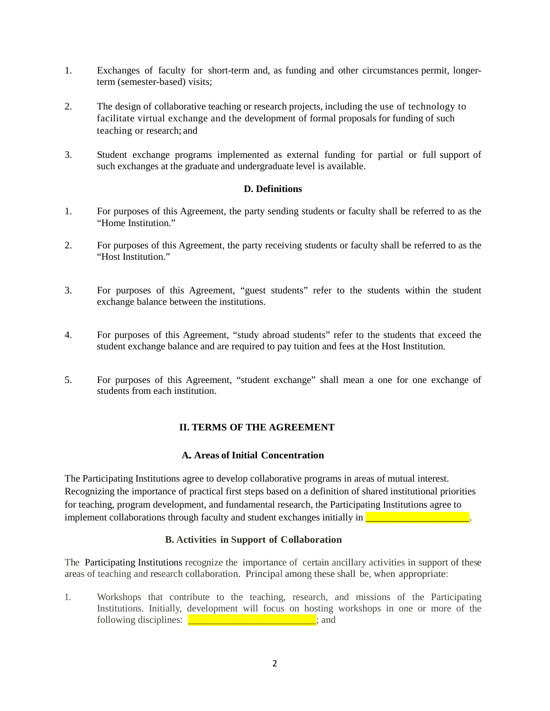- 1. Exchanges of faculty for short-term and, as funding and other circumstances permit, longerterm (semester-based) visits;
- 2. The design of collaborative teaching or research projects, including the use of technology to facilitate virtual exchange and the development of formal proposals for funding of such teaching or research; and
- 3. Student exchange programs implemented as external funding for partial or full support of such exchanges at the graduate and undergraduate level is available.

### **D. Definitions**

- 1. For purposes of this Agreement, the party sending students or faculty shall be referred to as the "Home Institution."
- 2. For purposes of this Agreement, the party receiving students or faculty shall be referred to as the "Host Institution."
- 3. For purposes of this Agreement, "guest students" refer to the students within the student exchange balance between the institutions.
- 4. For purposes of this Agreement, "study abroad students" refer to the students that exceed the student exchange balance and are required to pay tuition and fees at the Host Institution.
- 5. For purposes of this Agreement, "student exchange" shall mean a one for one exchange of students from each institution.

# **II. TERMS OF THE AGREEMENT**

### **A. Areas of Initial Concentration**

The Participating Institutions agree to develop collaborative programs in areas of mutual interest. Recognizing the importance of practical first steps based on a definition of shared institutional priorities for teaching, program development, and fundamental research, the Participating Institutions agree to implement collaborations through faculty and student exchanges initially in **Exercise** 2011 and the student exchanges initially in

#### **B. Activities in Support of Collaboration**

The Participating Institutions recognize the importance of certain ancillary activities in support of these areas of teaching and research collaboration. Principal among these shall be, when appropriate:

1. Workshops that contribute to the teaching, research, and missions of the Participating Institutions. Initially, development will focus on hosting workshops in one or more of the following disciplines:  $\frac{1}{\sqrt{1-\frac{1}{2}}}\left| \frac{1}{\sqrt{1-\frac{1}{2}}}\right|$  and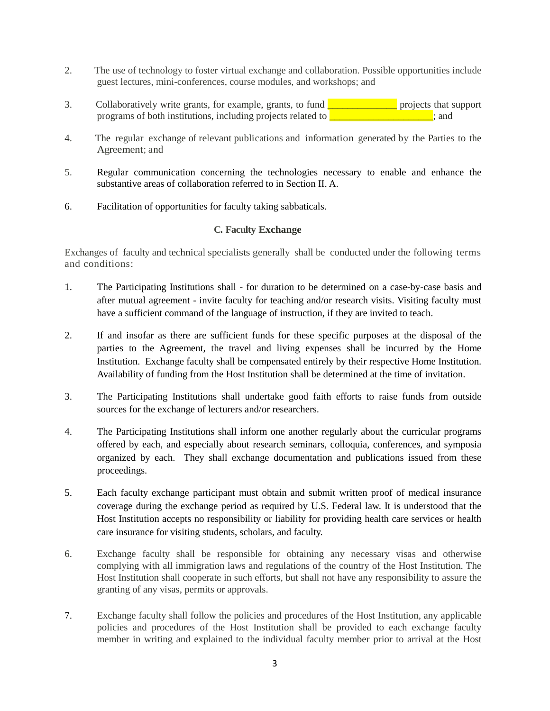- 2. The use of technology to foster virtual exchange and collaboration. Possible opportunities include guest lectures, mini-conferences, course modules, and workshops; and
- 3. Collaboratively write grants, for example, grants, to fund \_\_\_\_\_\_\_\_\_\_\_\_\_\_ projects that support programs of both institutions, including projects related to \_\_\_\_\_\_\_\_\_\_\_\_\_\_\_\_\_\_\_\_\_; and
- 4. The regular exchange of relevant publications and information generated by the Parties to the Agreement; and
- 5. Regular communication concerning the technologies necessary to enable and enhance the substantive areas of collaboration referred to in Section II. A.
- 6. Facilitation of opportunities for faculty taking sabbaticals.

# **C. Faculty Exchange**

Exchanges of faculty and technical specialists generally shall be conducted under the following terms and conditions:

- 1. The Participating Institutions shall for duration to be determined on a case-by-case basis and after mutual agreement - invite faculty for teaching and/or research visits. Visiting faculty must have a sufficient command of the language of instruction, if they are invited to teach.
- 2. If and insofar as there are sufficient funds for these specific purposes at the disposal of the parties to the Agreement, the travel and living expenses shall be incurred by the Home Institution. Exchange faculty shall be compensated entirely by their respective Home Institution. Availability of funding from the Host Institution shall be determined at the time of invitation.
- 3. The Participating Institutions shall undertake good faith efforts to raise funds from outside sources for the exchange of lecturers and/or researchers.
- 4. The Participating Institutions shall inform one another regularly about the curricular programs offered by each, and especially about research seminars, colloquia, conferences, and symposia organized by each. They shall exchange documentation and publications issued from these proceedings.
- 5. Each faculty exchange participant must obtain and submit written proof of medical insurance coverage during the exchange period as required by U.S. Federal law. It is understood that the Host Institution accepts no responsibility or liability for providing health care services or health care insurance for visiting students, scholars, and faculty.
- 6. Exchange faculty shall be responsible for obtaining any necessary visas and otherwise complying with all immigration laws and regulations of the country of the Host Institution. The Host Institution shall cooperate in such efforts, but shall not have any responsibility to assure the granting of any visas, permits or approvals.
- 7. Exchange faculty shall follow the policies and procedures of the Host Institution, any applicable policies and procedures of the Host Institution shall be provided to each exchange faculty member in writing and explained to the individual faculty member prior to arrival at the Host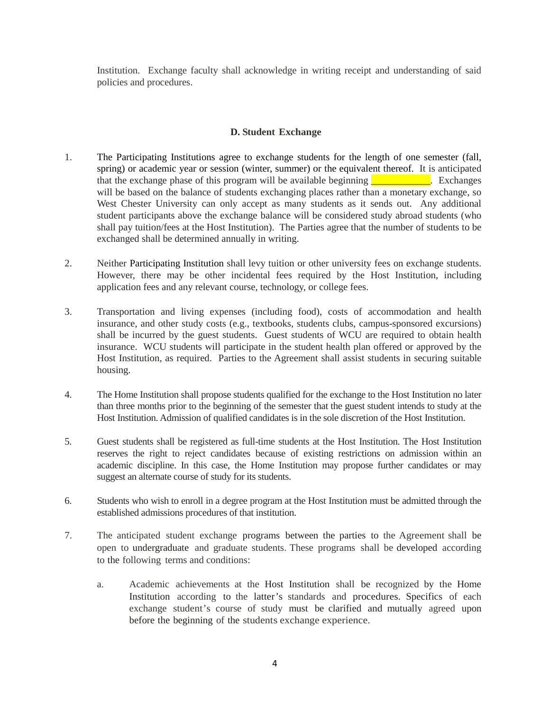Institution. Exchange faculty shall acknowledge in writing receipt and understanding of said policies and procedures.

# **D. Student Exchange**

- 1. The Participating Institutions agree to exchange students for the length of one semester (fall, spring) or academic year or session (winter, summer) or the equivalent thereof. It is anticipated that the exchange phase of this program will be available beginning  $\frac{1}{\sqrt{2\pi}}$  Exchanges will be based on the balance of students exchanging places rather than a monetary exchange, so West Chester University can only accept as many students as it sends out. Any additional student participants above the exchange balance will be considered study abroad students (who shall pay tuition/fees at the Host Institution). The Parties agree that the number of students to be exchanged shall be determined annually in writing.
- 2. Neither Participating Institution shall levy tuition or other university fees on exchange students. However, there may be other incidental fees required by the Host Institution, including application fees and any relevant course, technology, or college fees.
- 3. Transportation and living expenses (including food), costs of accommodation and health insurance, and other study costs (e.g., textbooks, students clubs, campus-sponsored excursions) shall be incurred by the guest students. Guest students of WCU are required to obtain health insurance. WCU students will participate in the student health plan offered or approved by the Host Institution, as required. Parties to the Agreement shall assist students in securing suitable housing.
- 4. The Home Institution shall propose students qualified for the exchange to the Host Institution no later than three months prior to the beginning of the semester that the guest student intends to study at the Host Institution. Admission of qualified candidates is in the sole discretion of the Host Institution.
- 5. Guest students shall be registered as full-time students at the Host Institution. The Host Institution reserves the right to reject candidates because of existing restrictions on admission within an academic discipline. In this case, the Home Institution may propose further candidates or may suggest an alternate course of study for its students.
- 6. Students who wish to enroll in a degree program at the Host Institution must be admitted through the established admissions procedures of that institution.
- 7. The anticipated student exchange programs between the parties to the Agreement shall be open to undergraduate and graduate students. These programs shall be developed according to the following terms and conditions:
	- a. Academic achievements at the Host Institution shall be recognized by the Home Institution according to the latter's standards and procedures. Specifics of each exchange student's course of study must be clarified and mutually agreed upon before the beginning of the students exchange experience.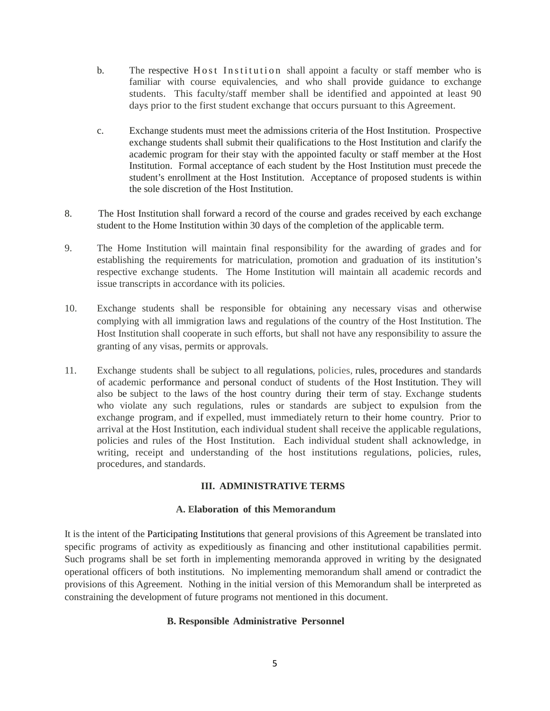- b. The respective Host Institution shall appoint a faculty or staff member who is familiar with course equivalencies, and who shall provide guidance to exchange students. This faculty/staff member shall be identified and appointed at least 90 days prior to the first student exchange that occurs pursuant to this Agreement.
- c. Exchange students must meet the admissions criteria of the Host Institution. Prospective exchange students shall submit their qualifications to the Host Institution and clarify the academic program for their stay with the appointed faculty or staff member at the Host Institution. Formal acceptance of each student by the Host Institution must precede the student's enrollment at the Host Institution. Acceptance of proposed students is within the sole discretion of the Host Institution.
- 8. The Host Institution shall forward a record of the course and grades received by each exchange student to the Home Institution within 30 days of the completion of the applicable term.
- 9. The Home Institution will maintain final responsibility for the awarding of grades and for establishing the requirements for matriculation, promotion and graduation of its institution's respective exchange students. The Home Institution will maintain all academic records and issue transcripts in accordance with its policies.
- 10. Exchange students shall be responsible for obtaining any necessary visas and otherwise complying with all immigration laws and regulations of the country of the Host Institution. The Host Institution shall cooperate in such efforts, but shall not have any responsibility to assure the granting of any visas, permits or approvals.
- 11. Exchange students shall be subject to all regulations, policies, rules, procedures and standards of academic performance and personal conduct of students of the Host Institution. They will also be subject to the laws of the host country during their term of stay. Exchange students who violate any such regulations, rules or standards are subject to expulsion from the exchange program, and if expelled, must immediately return to their home country. Prior to arrival at the Host Institution, each individual student shall receive the applicable regulations, policies and rules of the Host Institution. Each individual student shall acknowledge, in writing, receipt and understanding of the host institutions regulations, policies, rules, procedures, and standards.

# **III. ADMINISTRATIVE TERMS**

# **A. Elaboration of this Memorandum**

It is the intent of the Participating Institutions that general provisions of this Agreement be translated into specific programs of activity as expeditiously as financing and other institutional capabilities permit. Such programs shall be set forth in implementing memoranda approved in writing by the designated operational officers of both institutions. No implementing memorandum shall amend or contradict the provisions of this Agreement. Nothing in the initial version of this Memorandum shall be interpreted as constraining the development of future programs not mentioned in this document.

# **B. Responsible Administrative Personnel**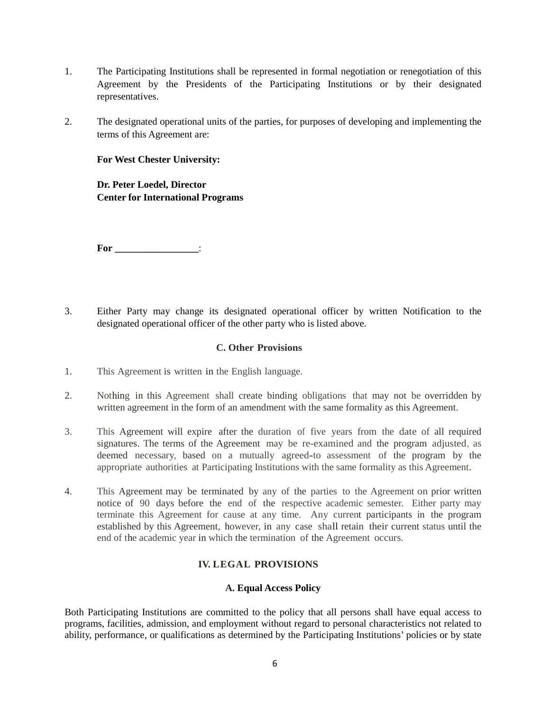- 1. The Participating Institutions shall be represented in formal negotiation or renegotiation of this Agreement by the Presidents of the Participating Institutions or by their designated representatives.
- 2. The designated operational units of the parties, for purposes of developing and implementing the terms of this Agreement are:

# **For West Chester University:**

**Dr. Peter Loedel, Director Center for International Programs**

**For \_\_\_\_\_\_\_\_\_\_\_\_\_\_\_\_\_**:

3. Either Party may change its designated operational officer by written Notification to the designated operational officer of the other party who is listed above.

# **C. Other Provisions**

- 1. This Agreement is written in the English language.
- 2. Nothing in this Agreement shall create binding obligations that may not be overridden by written agreement in the form of an amendment with the same formality as this Agreement.
- 3. This Agreement will expire after the duration of five years from the date of all required signatures. The terms of the Agreement may be re-examined and the program adjusted, as deemed necessary, based on a mutually agreed-to assessment of the program by the appropriate authorities at Participating Institutions with the same formality as this Agreement.
- 4. This Agreement may be terminated by any of the parties to the Agreement on prior written notice of 90 days before the end of the respective academic semester. Either party may terminate this Agreement for cause at any time. Any current participants in the program established by this Agreement, however, in any case shall retain their current status until the end of the academic year in which the termination of the Agreement occurs.

# **IV. LEGAL PROVISIONS**

#### **A. Equal Access Policy**

Both Participating Institutions are committed to the policy that all persons shall have equal access to programs, facilities, admission, and employment without regard to personal characteristics not related to ability, performance, or qualifications as determined by the Participating Institutions' policies or by state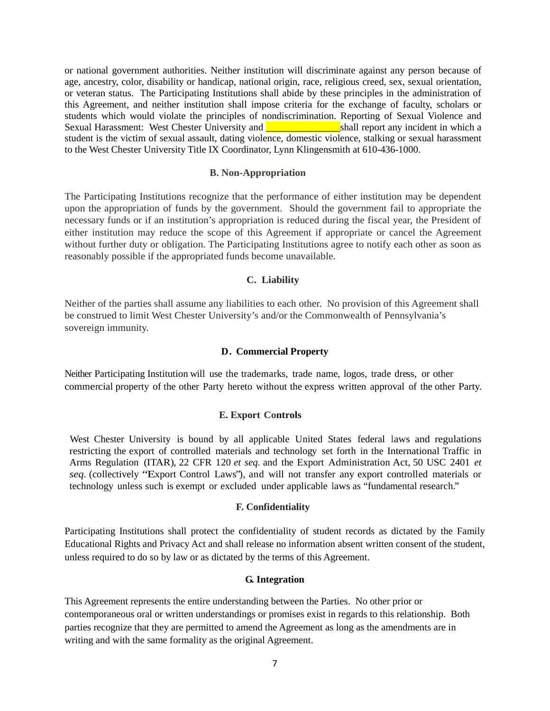or national government authorities. Neither institution will discriminate against any person because of age, ancestry, color, disability or handicap, national origin, race, religious creed, sex, sexual orientation, or veteran status. The Participating Institutions shall abide by these principles in the administration of this Agreement, and neither institution shall impose criteria for the exchange of faculty, scholars or students which would violate the principles of nondiscrimination. Reporting of Sexual Violence and Sexual Harassment: West Chester University and **Example 2018** shall report any incident in which a student is the victim of sexual assault, dating violence, domestic violence, stalking or sexual harassment to the West Chester University Title IX Coordinator, Lynn Klingensmith at 610-436-1000.

### **B. Non-Appropriation**

The Participating Institutions recognize that the performance of either institution may be dependent upon the appropriation of funds by the government. Should the government fail to appropriate the necessary funds or if an institution's appropriation is reduced during the fiscal year, the President of either institution may reduce the scope of this Agreement if appropriate or cancel the Agreement without further duty or obligation. The Participating Institutions agree to notify each other as soon as reasonably possible if the appropriated funds become unavailable.

#### **C. Liability**

Neither of the parties shall assume any liabilities to each other. No provision of this Agreement shall be construed to limit West Chester University's and/or the Commonwealth of Pennsylvania's sovereign immunity.

### **D. Commercial Property**

Neither Participating Institution will use the trademarks, trade name, logos, trade dress, or other commercial property of the other Party hereto without the express written approval of the other Party.

#### **E. Export Controls**

West Chester University is bound by all applicable United States federal laws and regulations restricting the export of controlled materials and technology set forth in the International Traffic in Arms Regulation (ITAR), 22 CFR 120 *et seq.* and the Export Administration Act, 50 USC 2401 *et seq.* (collectively "Export Control Laws"), and will not transfer any export controlled materials or technology unless such is exempt or excluded under applicable laws as "fundamental research."

#### **F. Confidentiality**

Participating Institutions shall protect the confidentiality of student records as dictated by the Family Educational Rights and Privacy Act and shall release no information absent written consent of the student, unless required to do so by law or as dictated by the terms of this Agreement.

#### **G. Integration**

This Agreement represents the entire understanding between the Parties. No other prior or contemporaneous oral or written understandings or promises exist in regards to this relationship. Both parties recognize that they are permitted to amend the Agreement as long as the amendments are in writing and with the same formality as the original Agreement.